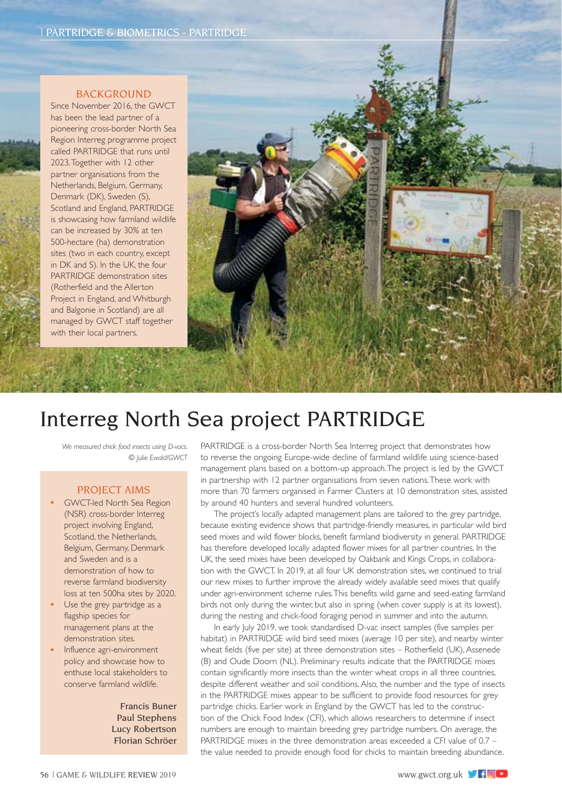#### BACKGROUND

Since November 2016, the GWCT has been the lead partner of a pioneering cross-border North Sea Region Interreg programme project called PARTRIDGE that runs until 2023. Together with 12 other partner organisations from the Netherlands, Belgium, Germany, Denmark (DK), Sweden (S), Scotland and England, PARTRIDGE is showcasing how farmland wildlife can be increased by 30% at ten 500-hectare (ha) demonstration sites (two in each country, except in DK and S). In the UK, the four PARTRIDGE demonstration sites (Rotherfield and the Allerton Project in England, and Whitburgh and Balgonie in Scotland) are all managed by GWCT staff together with their local partners.



# Interreg North Sea project PARTRIDGE

*We measured chick food insects using D-vacs. © Julie Ewald/GWCT*

### PROJECT AIMS

- GWCT-led North Sea Region (NSR) cross-border Interreg project involving England, Scotland, the Netherlands, Belgium, Germany, Denmark and Sweden and is a demonstration of how to reverse farmland biodiversity loss at ten 500ha sites by 2020.
- Use the grey partridge as a flagship species for management plans at the demonstration sites.
- Influence agri-environment policy and showcase how to enthuse local stakeholders to conserve farmland wildlife.

Francis Buner Paul Stephens Lucy Robertson Florian Schröer PARTRIDGE is a cross-border North Sea Interreg project that demonstrates how to reverse the ongoing Europe-wide decline of farmland wildlife using science-based management plans based on a bottom-up approach. The project is led by the GWCT in partnership with 12 partner organisations from seven nations. These work with more than 70 farmers organised in Farmer Clusters at 10 demonstration sites, assisted by around 40 hunters and several hundred volunteers.

The project's locally adapted management plans are tailored to the grey partridge, because existing evidence shows that partridge-friendly measures, in particular wild bird seed mixes and wild flower blocks, benefit farmland biodiversity in general. PARTRIDGE has therefore developed locally adapted flower mixes for all partner countries. In the UK, the seed mixes have been developed by Oakbank and Kings Crops, in collaboration with the GWCT. In 2019, at all four UK demonstration sites, we continued to trial our new mixes to further improve the already widely available seed mixes that qualify under agri-environment scheme rules. This benefits wild game and seed-eating farmland birds not only during the winter, but also in spring (when cover supply is at its lowest), during the nesting and chick-food foraging period in summer and into the autumn.

In early July 2019, we took standardised D-vac insect samples (five samples per habitat) in PARTRIDGE wild bird seed mixes (average 10 per site), and nearby winter wheat fields (five per site) at three demonstration sites – Rotherfield (UK), Assenede (B) and Oude Doorn (NL). Preliminary results indicate that the PARTRIDGE mixes contain significantly more insects than the winter wheat crops in all three countries, despite different weather and soil conditions. Also, the number and the type of insects in the PARTRIDGE mixes appear to be sufficient to provide food resources for grey partridge chicks. Earlier work in England by the GWCT has led to the construction of the Chick Food Index (CFI), which allows researchers to determine if insect numbers are enough to maintain breeding grey partridge numbers. On average, the PARTRIDGE mixes in the three demonstration areas exceeded a CFI value of 0.7 – the value needed to provide enough food for chicks to maintain breeding abundance.